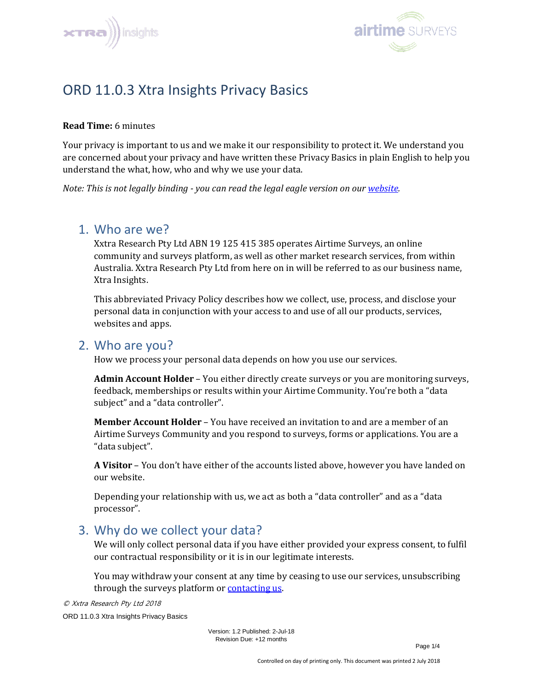



# ORD 11.0.3 Xtra Insights Privacy Basics

#### **Read Time:** 6 minutes

Your privacy is important to us and we make it our responsibility to protect it. We understand you are concerned about your privacy and have written these Privacy Basics in plain English to help you understand the what, how, who and why we use your data.

*Note: This is not legally binding - you can read the legal eagle version on our [website.](https://xtrainsights.com/privacy-policy)*

### 1. Who are we?

Xxtra Research Pty Ltd ABN 19 125 415 385 operates Airtime Surveys, an online community and surveys platform, as well as other market research services, from within Australia. Xxtra Research Pty Ltd from here on in will be referred to as our business name, Xtra Insights.

This abbreviated Privacy Policy describes how we collect, use, process, and disclose your personal data in conjunction with your access to and use of all our products, services, websites and apps.

#### 2. Who are you?

How we process your personal data depends on how you use our services.

**Admin Account Holder** – You either directly create surveys or you are monitoring surveys, feedback, memberships or results within your Airtime Community. You're both a "data subject" and a "data controller".

**Member Account Holder** – You have received an invitation to and are a member of an Airtime Surveys Community and you respond to surveys, forms or applications. You are a "data subject".

**A Visitor** – You don't have either of the accounts listed above, however you have landed on our website.

Depending your relationship with us, we act as both a "data controller" and as a "data processor".

# 3. Why do we collect your data?

We will only collect personal data if you have either provided your express consent, to fulfil our contractual responsibility or it is in our legitimate interests.

You may withdraw your consent at any time by ceasing to use our services, unsubscribing through the surveys platform or [contacting us.](#page-3-0)

© Xxtra Research Pty Ltd 2018

ORD 11.0.3 Xtra Insights Privacy Basics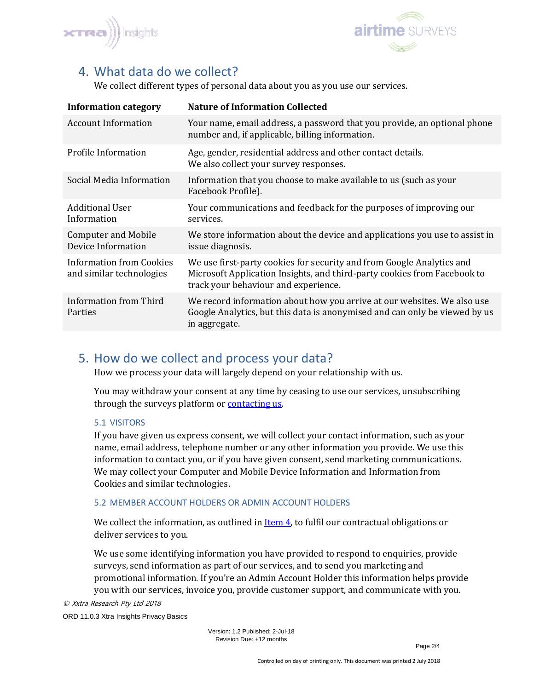



# <span id="page-1-0"></span>4. What data do we collect?

We collect different types of personal data about you as you use our services.

| <b>Information category</b>                                 | <b>Nature of Information Collected</b>                                                                                                                                                    |
|-------------------------------------------------------------|-------------------------------------------------------------------------------------------------------------------------------------------------------------------------------------------|
| <b>Account Information</b>                                  | Your name, email address, a password that you provide, an optional phone<br>number and, if applicable, billing information.                                                               |
| Profile Information                                         | Age, gender, residential address and other contact details.<br>We also collect your survey responses.                                                                                     |
| Social Media Information                                    | Information that you choose to make available to us (such as your<br>Facebook Profile).                                                                                                   |
| <b>Additional User</b><br>Information                       | Your communications and feedback for the purposes of improving our<br>services.                                                                                                           |
| <b>Computer and Mobile</b><br>Device Information            | We store information about the device and applications you use to assist in<br>issue diagnosis.                                                                                           |
| <b>Information from Cookies</b><br>and similar technologies | We use first-party cookies for security and from Google Analytics and<br>Microsoft Application Insights, and third-party cookies from Facebook to<br>track your behaviour and experience. |
| Information from Third<br>Parties                           | We record information about how you arrive at our websites. We also use<br>Google Analytics, but this data is anonymised and can only be viewed by us<br>in aggregate.                    |

# 5. How do we collect and process your data?

How we process your data will largely depend on your relationship with us.

You may withdraw your consent at any time by ceasing to use our services, unsubscribing through the surveys platform or [contacting us.](#page-3-0)

#### 5.1 VISITORS

If you have given us express consent, we will collect your contact information, such as your name, email address, telephone number or any other information you provide. We use this information to contact you, or if you have given consent, send marketing communications. We may collect your Computer and Mobile Device Information and Information from Cookies and similar technologies.

#### 5.2 MEMBER ACCOUNT HOLDERS OR ADMIN ACCOUNT HOLDERS

We collect the information, as outlined in [Item 4,](#page-1-0) to fulfil our contractual obligations or deliver services to you.

We use some identifying information you have provided to respond to enquiries, provide surveys, send information as part of our services, and to send you marketing and promotional information. If you're an Admin Account Holder this information helps provide you with our services, invoice you, provide customer support, and communicate with you.

© Xxtra Research Pty Ltd 2018

ORD 11.0.3 Xtra Insights Privacy Basics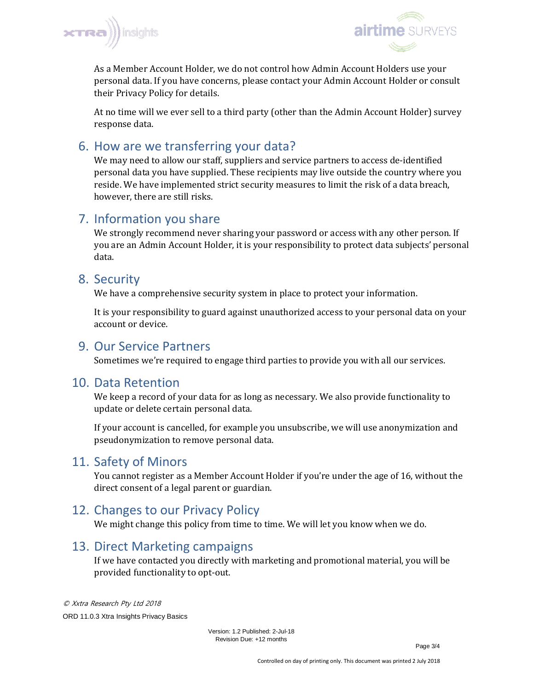



As a Member Account Holder, we do not control how Admin Account Holders use your personal data. If you have concerns, please contact your Admin Account Holder or consult their Privacy Policy for details.

At no time will we ever sell to a third party (other than the Admin Account Holder) survey response data.

# 6. How are we transferring your data?

We may need to allow our staff, suppliers and service partners to access de-identified personal data you have supplied. These recipients may live outside the country where you reside. We have implemented strict security measures to limit the risk of a data breach, however, there are still risks.

# 7. Information you share

We strongly recommend never sharing your password or access with any other person. If you are an Admin Account Holder, it is your responsibility to protect data subjects' personal data.

### 8. Security

We have a comprehensive security system in place to protect your information.

It is your responsibility to guard against unauthorized access to your personal data on your account or device.

### 9. Our Service Partners

Sometimes we're required to engage third parties to provide you with all our services.

### 10. Data Retention

We keep a record of your data for as long as necessary. We also provide functionality to update or delete certain personal data.

If your account is cancelled, for example you unsubscribe, we will use anonymization and pseudonymization to remove personal data.

# 11. Safety of Minors

You cannot register as a Member Account Holder if you're under the age of 16, without the direct consent of a legal parent or guardian.

# 12. Changes to our Privacy Policy

We might change this policy from time to time. We will let you know when we do.

# 13. Direct Marketing campaigns

If we have contacted you directly with marketing and promotional material, you will be provided functionality to opt-out.

© Xxtra Research Pty Ltd 2018 ORD 11.0.3 Xtra Insights Privacy Basics